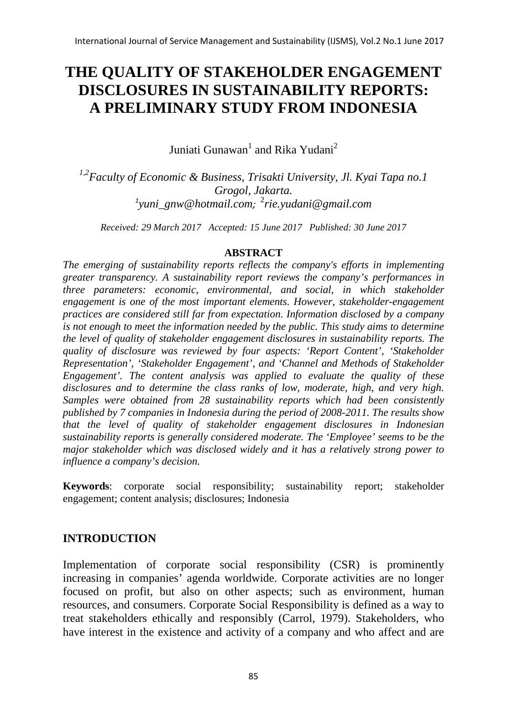# **THE QUALITY OF STAKEHOLDER ENGAGEMENT DISCLOSURES IN SUSTAINABILITY REPORTS: A PRELIMINARY STUDY FROM INDONESIA**

Juniati Gunawan<sup>1</sup> and Rika Yudani<sup>2</sup>

*1,2Faculty of Economic & Business, Trisakti University, Jl. Kyai Tapa no.1 Grogol, Jakarta. 1 [yuni\\_gnw@hotmail.com](mailto:yuni_gnw@hotmail.com);*  2 *rie.yudani@gmail.com*

*Received: 29 March 2017 Accepted: 15 June 2017 Published: 30 June 2017*

#### **ABSTRACT**

*The emerging of sustainability reports reflects the company's efforts in implementing greater transparency. A sustainability report reviews the company's performances in three parameters: economic, environmental, and social, in which stakeholder engagement is one of the most important elements. However, stakeholder-engagement practices are considered still far from expectation. Information disclosed by a company is not enough to meet the information needed by the public. This study aims to determine the level of quality of stakeholder engagement disclosures in sustainability reports. The quality of disclosure was reviewed by four aspects: 'Report Content', 'Stakeholder Representation', 'Stakeholder Engagement', and 'Channel and Methods of Stakeholder Engagement'. The content analysis was applied to evaluate the quality of these disclosures and to determine the class ranks of low, moderate, high, and very high. Samples were obtained from 28 sustainability reports which had been consistently published by 7 companies in Indonesia during the period of 2008-2011. The results show that the level of quality of stakeholder engagement disclosures in Indonesian sustainability reports is generally considered moderate. The 'Employee' seems to be the major stakeholder which was disclosed widely and it has a relatively strong power to influence a company's decision.*

**Keywords**: corporate social responsibility; sustainability report; stakeholder engagement; content analysis; disclosures; Indonesia

#### **INTRODUCTION**

Implementation of corporate social responsibility (CSR) is prominently increasing in companies' agenda worldwide. Corporate activities are no longer focused on profit, but also on other aspects; such as environment, human resources, and consumers. Corporate Social Responsibility is defined as a way to treat stakeholders ethically and responsibly (Carrol, 1979). Stakeholders, who have interest in the existence and activity of a company and who affect and are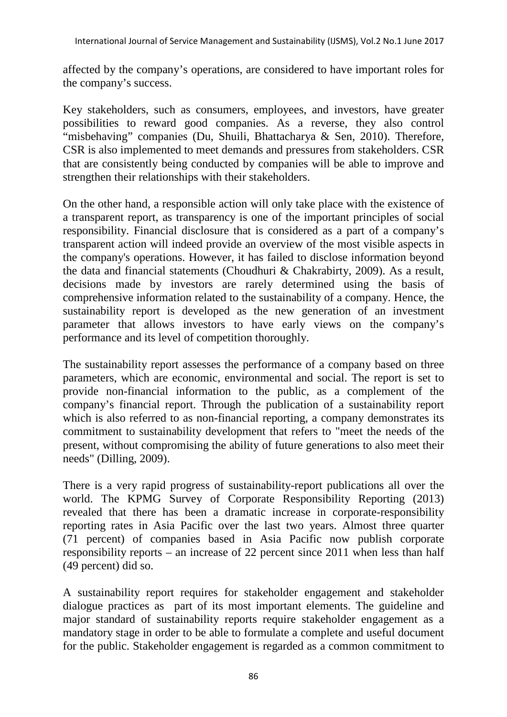affected by the company's operations, are considered to have important roles for the company's success.

Key stakeholders, such as consumers, employees, and investors, have greater possibilities to reward good companies. As a reverse, they also control "misbehaving" companies (Du, Shuili, Bhattacharya & Sen, 2010). Therefore, CSR is also implemented to meet demands and pressures from stakeholders. CSR that are consistently being conducted by companies will be able to improve and strengthen their relationships with their stakeholders.

On the other hand, a responsible action will only take place with the existence of a transparent report, as transparency is one of the important principles of social responsibility. Financial disclosure that is considered as a part of a company's transparent action will indeed provide an overview of the most visible aspects in the company's operations. However, it has failed to disclose information beyond the data and financial statements (Choudhuri & Chakrabirty, 2009). As a result, decisions made by investors are rarely determined using the basis of comprehensive information related to the sustainability of a company. Hence, the sustainability report is developed as the new generation of an investment parameter that allows investors to have early views on the company's performance and its level of competition thoroughly.

The sustainability report assesses the performance of a company based on three parameters, which are economic, environmental and social. The report is set to provide non-financial information to the public, as a complement of the company's financial report. Through the publication of a sustainability report which is also referred to as non-financial reporting, a company demonstrates its commitment to sustainability development that refers to "meet the needs of the present, without compromising the ability of future generations to also meet their needs" (Dilling, 2009).

There is a very rapid progress of sustainability-report publications all over the world. The KPMG Survey of Corporate Responsibility Reporting (2013) revealed that there has been a dramatic increase in corporate-responsibility reporting rates in Asia Pacific over the last two years. Almost three quarter (71 percent) of companies based in Asia Pacific now publish corporate responsibility reports – an increase of 22 percent since 2011 when less than half (49 percent) did so.

A sustainability report requires for stakeholder engagement and stakeholder dialogue practices as part of its most important elements. The guideline and major standard of sustainability reports require stakeholder engagement as a mandatory stage in order to be able to formulate a complete and useful document for the public. Stakeholder engagement is regarded as a common commitment to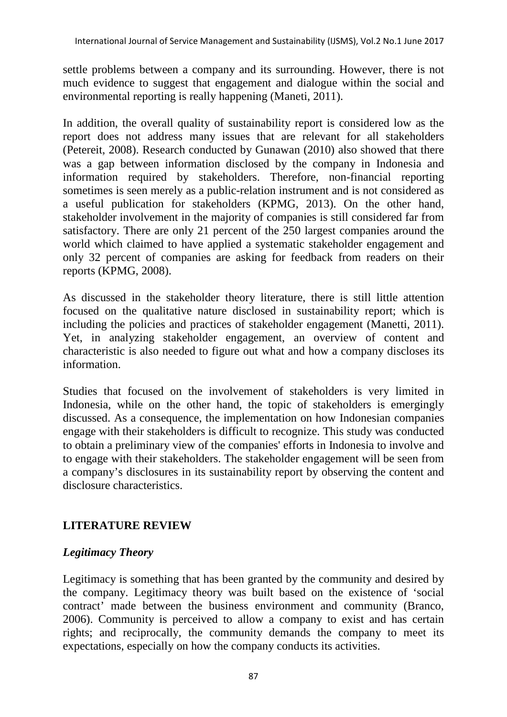settle problems between a company and its surrounding. However, there is not much evidence to suggest that engagement and dialogue within the social and environmental reporting is really happening (Maneti, 2011).

In addition, the overall quality of sustainability report is considered low as the report does not address many issues that are relevant for all stakeholders (Petereit, 2008). Research conducted by Gunawan (2010) also showed that there was a gap between information disclosed by the company in Indonesia and information required by stakeholders. Therefore, non-financial reporting sometimes is seen merely as a public-relation instrument and is not considered as a useful publication for stakeholders (KPMG, 2013). On the other hand, stakeholder involvement in the majority of companies is still considered far from satisfactory. There are only 21 percent of the 250 largest companies around the world which claimed to have applied a systematic stakeholder engagement and only 32 percent of companies are asking for feedback from readers on their reports (KPMG, 2008).

As discussed in the stakeholder theory literature, there is still little attention focused on the qualitative nature disclosed in sustainability report; which is including the policies and practices of stakeholder engagement (Manetti, 2011). Yet, in analyzing stakeholder engagement, an overview of content and characteristic is also needed to figure out what and how a company discloses its information.

Studies that focused on the involvement of stakeholders is very limited in Indonesia, while on the other hand, the topic of stakeholders is emergingly discussed. As a consequence, the implementation on how Indonesian companies engage with their stakeholders is difficult to recognize. This study was conducted to obtain a preliminary view of the companies' efforts in Indonesia to involve and to engage with their stakeholders. The stakeholder engagement will be seen from a company's disclosures in its sustainability report by observing the content and disclosure characteristics.

# **LITERATURE REVIEW**

# *Legitimacy Theory*

Legitimacy is something that has been granted by the community and desired by the company. Legitimacy theory was built based on the existence of 'social contract' made between the business environment and community (Branco, 2006). Community is perceived to allow a company to exist and has certain rights; and reciprocally, the community demands the company to meet its expectations, especially on how the company conducts its activities.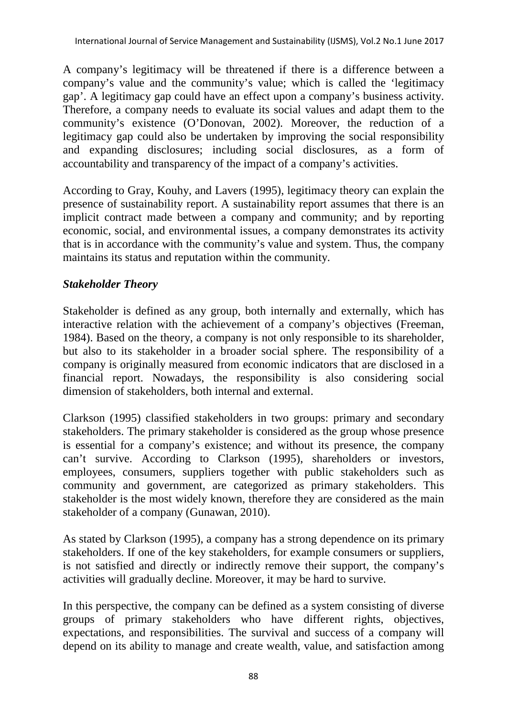A company's legitimacy will be threatened if there is a difference between a company's value and the community's value; which is called the 'legitimacy gap'. A legitimacy gap could have an effect upon a company's business activity. Therefore, a company needs to evaluate its social values and adapt them to the community's existence (O'Donovan, 2002). Moreover, the reduction of a legitimacy gap could also be undertaken by improving the social responsibility and expanding disclosures; including social disclosures, as a form of accountability and transparency of the impact of a company's activities.

According to Gray, Kouhy, and Lavers (1995), legitimacy theory can explain the presence of sustainability report. A sustainability report assumes that there is an implicit contract made between a company and community; and by reporting economic, social, and environmental issues, a company demonstrates its activity that is in accordance with the community's value and system. Thus, the company maintains its status and reputation within the community.

#### *Stakeholder Theory*

Stakeholder is defined as any group, both internally and externally, which has interactive relation with the achievement of a company's objectives (Freeman, 1984). Based on the theory, a company is not only responsible to its shareholder, but also to its stakeholder in a broader social sphere. The responsibility of a company is originally measured from economic indicators that are disclosed in a financial report. Nowadays, the responsibility is also considering social dimension of stakeholders, both internal and external.

Clarkson (1995) classified stakeholders in two groups: primary and secondary stakeholders. The primary stakeholder is considered as the group whose presence is essential for a company's existence; and without its presence, the company can't survive. According to Clarkson (1995), shareholders or investors, employees, consumers, suppliers together with public stakeholders such as community and government, are categorized as primary stakeholders. This stakeholder is the most widely known, therefore they are considered as the main stakeholder of a company (Gunawan, 2010).

As stated by Clarkson (1995), a company has a strong dependence on its primary stakeholders. If one of the key stakeholders, for example consumers or suppliers, is not satisfied and directly or indirectly remove their support, the company's activities will gradually decline. Moreover, it may be hard to survive.

In this perspective, the company can be defined as a system consisting of diverse groups of primary stakeholders who have different rights, objectives, expectations, and responsibilities. The survival and success of a company will depend on its ability to manage and create wealth, value, and satisfaction among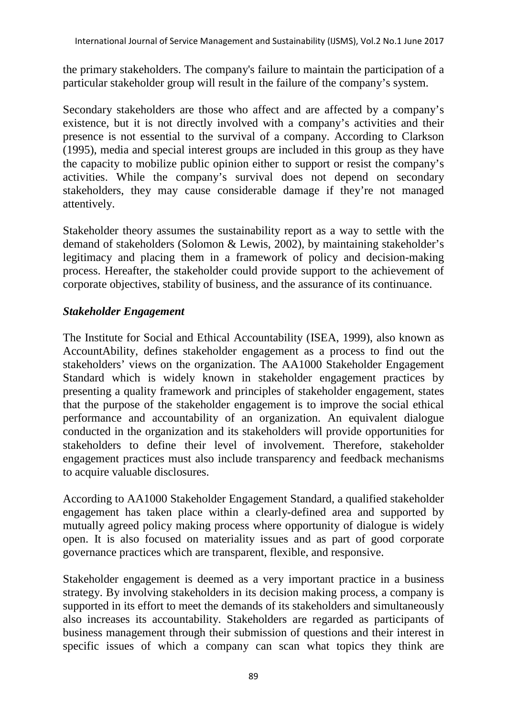the primary stakeholders. The company's failure to maintain the participation of a particular stakeholder group will result in the failure of the company's system.

Secondary stakeholders are those who affect and are affected by a company's existence, but it is not directly involved with a company's activities and their presence is not essential to the survival of a company. According to Clarkson (1995), media and special interest groups are included in this group as they have the capacity to mobilize public opinion either to support or resist the company's activities. While the company's survival does not depend on secondary stakeholders, they may cause considerable damage if they're not managed attentively.

Stakeholder theory assumes the sustainability report as a way to settle with the demand of stakeholders (Solomon & Lewis, 2002), by maintaining stakeholder's legitimacy and placing them in a framework of policy and decision-making process. Hereafter, the stakeholder could provide support to the achievement of corporate objectives, stability of business, and the assurance of its continuance.

#### *Stakeholder Engagement*

The Institute for Social and Ethical Accountability (ISEA, 1999), also known as AccountAbility, defines stakeholder engagement as a process to find out the stakeholders' views on the organization. The AA1000 Stakeholder Engagement Standard which is widely known in stakeholder engagement practices by presenting a quality framework and principles of stakeholder engagement, states that the purpose of the stakeholder engagement is to improve the social ethical performance and accountability of an organization. An equivalent dialogue conducted in the organization and its stakeholders will provide opportunities for stakeholders to define their level of involvement. Therefore, stakeholder engagement practices must also include transparency and feedback mechanisms to acquire valuable disclosures.

According to AA1000 Stakeholder Engagement Standard, a qualified stakeholder engagement has taken place within a clearly-defined area and supported by mutually agreed policy making process where opportunity of dialogue is widely open. It is also focused on materiality issues and as part of good corporate governance practices which are transparent, flexible, and responsive.

Stakeholder engagement is deemed as a very important practice in a business strategy. By involving stakeholders in its decision making process, a company is supported in its effort to meet the demands of its stakeholders and simultaneously also increases its accountability. Stakeholders are regarded as participants of business management through their submission of questions and their interest in specific issues of which a company can scan what topics they think are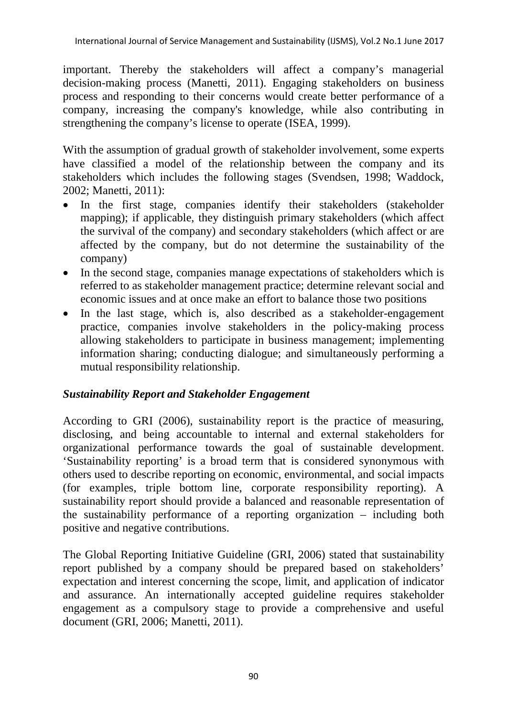important. Thereby the stakeholders will affect a company's managerial decision-making process (Manetti, 2011). Engaging stakeholders on business process and responding to their concerns would create better performance of a company, increasing the company's knowledge, while also contributing in strengthening the company's license to operate (ISEA, 1999).

With the assumption of gradual growth of stakeholder involvement, some experts have classified a model of the relationship between the company and its stakeholders which includes the following stages (Svendsen, 1998; Waddock, 2002; Manetti, 2011):

- In the first stage, companies identify their stakeholders (stakeholder mapping); if applicable, they distinguish primary stakeholders (which affect the survival of the company) and secondary stakeholders (which affect or are affected by the company, but do not determine the sustainability of the company)
- In the second stage, companies manage expectations of stakeholders which is referred to as stakeholder management practice; determine relevant social and economic issues and at once make an effort to balance those two positions
- In the last stage, which is, also described as a stakeholder-engagement practice, companies involve stakeholders in the policy-making process allowing stakeholders to participate in business management; implementing information sharing; conducting dialogue; and simultaneously performing a mutual responsibility relationship.

# *Sustainability Report and Stakeholder Engagement*

According to GRI (2006), sustainability report is the practice of measuring, disclosing, and being accountable to internal and external stakeholders for organizational performance towards the goal of sustainable development. 'Sustainability reporting' is a broad term that is considered synonymous with others used to describe reporting on economic, environmental, and social impacts (for examples, triple bottom line, corporate responsibility reporting). A sustainability report should provide a balanced and reasonable representation of the sustainability performance of a reporting organization – including both positive and negative contributions.

The Global Reporting Initiative Guideline (GRI, 2006) stated that sustainability report published by a company should be prepared based on stakeholders' expectation and interest concerning the scope, limit, and application of indicator and assurance. An internationally accepted guideline requires stakeholder engagement as a compulsory stage to provide a comprehensive and useful document (GRI, 2006; Manetti, 2011).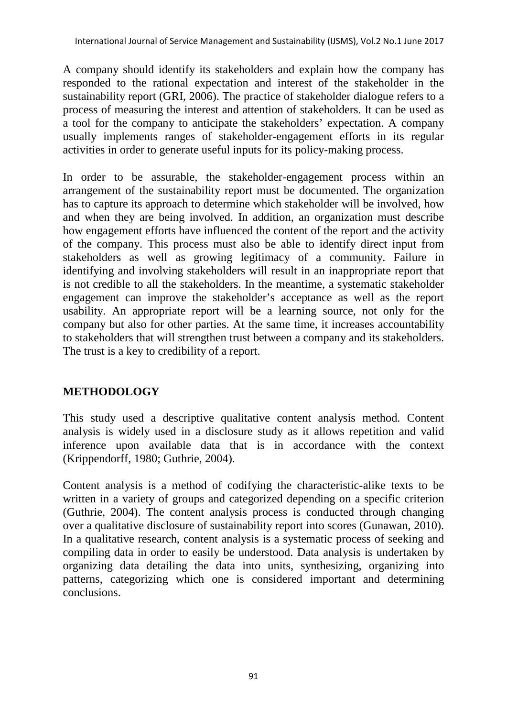A company should identify its stakeholders and explain how the company has responded to the rational expectation and interest of the stakeholder in the sustainability report (GRI, 2006). The practice of stakeholder dialogue refers to a process of measuring the interest and attention of stakeholders. It can be used as a tool for the company to anticipate the stakeholders' expectation. A company usually implements ranges of stakeholder-engagement efforts in its regular activities in order to generate useful inputs for its policy-making process.

In order to be assurable, the stakeholder-engagement process within an arrangement of the sustainability report must be documented. The organization has to capture its approach to determine which stakeholder will be involved, how and when they are being involved. In addition, an organization must describe how engagement efforts have influenced the content of the report and the activity of the company. This process must also be able to identify direct input from stakeholders as well as growing legitimacy of a community. Failure in identifying and involving stakeholders will result in an inappropriate report that is not credible to all the stakeholders. In the meantime, a systematic stakeholder engagement can improve the stakeholder's acceptance as well as the report usability. An appropriate report will be a learning source, not only for the company but also for other parties. At the same time, it increases accountability to stakeholders that will strengthen trust between a company and its stakeholders. The trust is a key to credibility of a report.

# **METHODOLOGY**

This study used a descriptive qualitative content analysis method. Content analysis is widely used in a disclosure study as it allows repetition and valid inference upon available data that is in accordance with the context (Krippendorff, 1980; Guthrie, 2004).

Content analysis is a method of codifying the characteristic-alike texts to be written in a variety of groups and categorized depending on a specific criterion (Guthrie, 2004). The content analysis process is conducted through changing over a qualitative disclosure of sustainability report into scores (Gunawan, 2010). In a qualitative research, content analysis is a systematic process of seeking and compiling data in order to easily be understood. Data analysis is undertaken by organizing data detailing the data into units, synthesizing, organizing into patterns, categorizing which one is considered important and determining conclusions.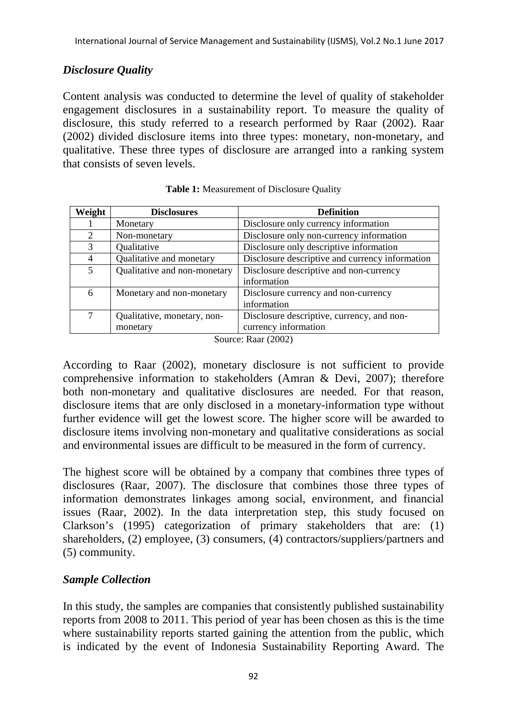# *Disclosure Quality*

Content analysis was conducted to determine the level of quality of stakeholder engagement disclosures in a sustainability report. To measure the quality of disclosure, this study referred to a research performed by Raar (2002). Raar (2002) divided disclosure items into three types: monetary, non-monetary, and qualitative. These three types of disclosure are arranged into a ranking system that consists of seven levels.

| Weight                      | <b>Disclosures</b>           | <b>Definition</b>                               |
|-----------------------------|------------------------------|-------------------------------------------------|
|                             | Monetary                     | Disclosure only currency information            |
| $\mathcal{D}_{\mathcal{L}}$ | Non-monetary                 | Disclosure only non-currency information        |
| 3                           | Qualitative                  | Disclosure only descriptive information         |
| 4                           | Qualitative and monetary     | Disclosure descriptive and currency information |
| 5                           | Qualitative and non-monetary | Disclosure descriptive and non-currency         |
|                             |                              | information                                     |
| 6                           | Monetary and non-monetary    | Disclosure currency and non-currency            |
|                             |                              | information                                     |
| 7                           | Qualitative, monetary, non-  | Disclosure descriptive, currency, and non-      |
|                             | monetary                     | currency information                            |

| <b>Table 1:</b> Measurement of Disclosure Quality |  |
|---------------------------------------------------|--|
|---------------------------------------------------|--|

Source: Raar (2002)

According to Raar (2002), monetary disclosure is not sufficient to provide comprehensive information to stakeholders (Amran & Devi, 2007); therefore both non-monetary and qualitative disclosures are needed. For that reason, disclosure items that are only disclosed in a monetary-information type without further evidence will get the lowest score. The higher score will be awarded to disclosure items involving non-monetary and qualitative considerations as social and environmental issues are difficult to be measured in the form of currency.

The highest score will be obtained by a company that combines three types of disclosures (Raar, 2007). The disclosure that combines those three types of information demonstrates linkages among social, environment, and financial issues (Raar, 2002). In the data interpretation step, this study focused on Clarkson's (1995) categorization of primary stakeholders that are: (1) shareholders, (2) employee, (3) consumers, (4) contractors/suppliers/partners and (5) community.

#### *Sample Collection*

In this study, the samples are companies that consistently published sustainability reports from 2008 to 2011. This period of year has been chosen as this is the time where sustainability reports started gaining the attention from the public, which is indicated by the event of Indonesia Sustainability Reporting Award. The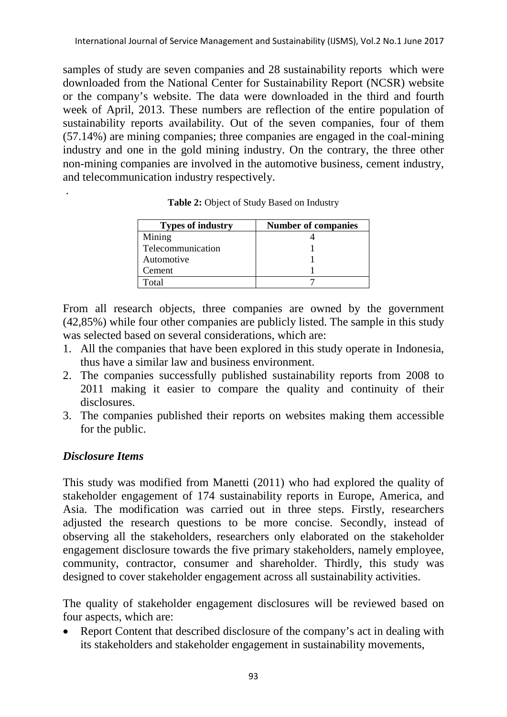samples of study are seven companies and 28 sustainability reports which were downloaded from the National Center for Sustainability Report (NCSR) website or the company's website. The data were downloaded in the third and fourth week of April, 2013. These numbers are reflection of the entire population of sustainability reports availability. Out of the seven companies, four of them (57.14%) are mining companies; three companies are engaged in the coal-mining industry and one in the gold mining industry. On the contrary, the three other non-mining companies are involved in the automotive business, cement industry, and telecommunication industry respectively.

| Table 2: Object of Study Based on Industry |
|--------------------------------------------|
|                                            |

| <b>Types of industry</b> | <b>Number of companies</b> |
|--------------------------|----------------------------|
| Mining                   |                            |
| Telecommunication        |                            |
| Automotive               |                            |
| Cement                   |                            |
| Total                    |                            |

From all research objects, three companies are owned by the government (42,85%) while four other companies are publicly listed. The sample in this study was selected based on several considerations, which are:

- 1. All the companies that have been explored in this study operate in Indonesia, thus have a similar law and business environment.
- 2. The companies successfully published sustainability reports from 2008 to 2011 making it easier to compare the quality and continuity of their disclosures.
- 3. The companies published their reports on websites making them accessible for the public.

#### *Disclosure Items*

.

This study was modified from Manetti (2011) who had explored the quality of stakeholder engagement of 174 sustainability reports in Europe, America, and Asia. The modification was carried out in three steps. Firstly, researchers adjusted the research questions to be more concise. Secondly, instead of observing all the stakeholders, researchers only elaborated on the stakeholder engagement disclosure towards the five primary stakeholders, namely employee, community, contractor, consumer and shareholder. Thirdly, this study was designed to cover stakeholder engagement across all sustainability activities.

The quality of stakeholder engagement disclosures will be reviewed based on four aspects, which are:

• Report Content that described disclosure of the company's act in dealing with its stakeholders and stakeholder engagement in sustainability movements,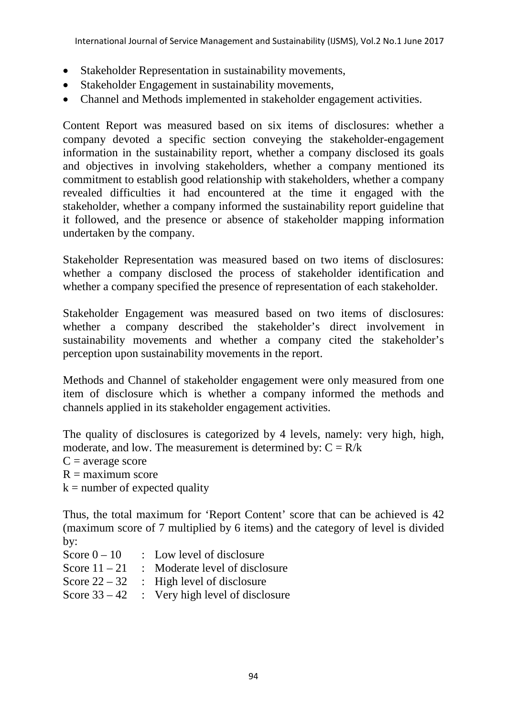- Stakeholder Representation in sustainability movements,
- Stakeholder Engagement in sustainability movements,
- Channel and Methods implemented in stakeholder engagement activities.

Content Report was measured based on six items of disclosures: whether a company devoted a specific section conveying the stakeholder-engagement information in the sustainability report, whether a company disclosed its goals and objectives in involving stakeholders, whether a company mentioned its commitment to establish good relationship with stakeholders, whether a company revealed difficulties it had encountered at the time it engaged with the stakeholder, whether a company informed the sustainability report guideline that it followed, and the presence or absence of stakeholder mapping information undertaken by the company.

Stakeholder Representation was measured based on two items of disclosures: whether a company disclosed the process of stakeholder identification and whether a company specified the presence of representation of each stakeholder.

Stakeholder Engagement was measured based on two items of disclosures: whether a company described the stakeholder's direct involvement in sustainability movements and whether a company cited the stakeholder's perception upon sustainability movements in the report.

Methods and Channel of stakeholder engagement were only measured from one item of disclosure which is whether a company informed the methods and channels applied in its stakeholder engagement activities.

The quality of disclosures is categorized by 4 levels, namely: very high, high, moderate, and low. The measurement is determined by:  $C = R/k$ 

 $C = average score$ 

 $R =$  maximum score

 $k =$  number of expected quality

Thus, the total maximum for 'Report Content' score that can be achieved is 42 (maximum score of 7 multiplied by 6 items) and the category of level is divided by:

| Score $0-10$    | : Low level of disclosure                       |
|-----------------|-------------------------------------------------|
| Score $11 - 21$ | : Moderate level of disclosure                  |
| Score $22 - 32$ | : High level of disclosure                      |
|                 | Score $33 - 42$ : Very high level of disclosure |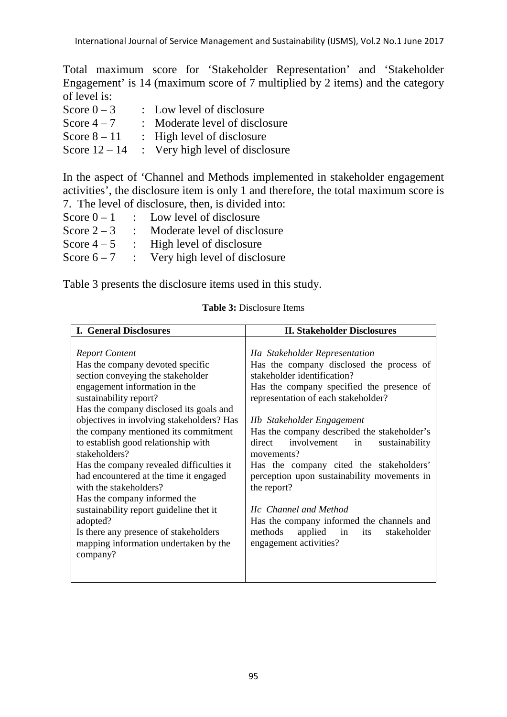Total maximum score for 'Stakeholder Representation' and 'Stakeholder Engagement' is 14 (maximum score of 7 multiplied by 2 items) and the category of level is:

| Score $0-3$     | : Low level of disclosure       |
|-----------------|---------------------------------|
| Score $4-7$     | : Moderate level of disclosure  |
| Score $8-11$    | : High level of disclosure      |
| Score $12 - 14$ | : Very high level of disclosure |

In the aspect of 'Channel and Methods implemented in stakeholder engagement activities', the disclosure item is only 1 and therefore, the total maximum score is 7. The level of disclosure, then, is divided into:

|             |                           | $\ldots$ The Tet of the choice of the choice of $\ldots$ |
|-------------|---------------------------|----------------------------------------------------------|
| Score $0-1$ |                           | : Low level of disclosure                                |
| Score $2-3$ | $\sigma_{\rm{max}}$       | Moderate level of disclosure                             |
| Score $4-5$ | $\mathbb{R}^{\mathbb{Z}}$ | High level of disclosure                                 |
| Score $6-7$ | $\sim 1000$               | Very high level of disclosure                            |

Table 3 presents the disclosure items used in this study.

| <b>I. General Disclosures</b>             | <b>II. Stakeholder Disclosures</b>          |  |
|-------------------------------------------|---------------------------------------------|--|
|                                           |                                             |  |
| <b>Report Content</b>                     | <i>Ha Stakeholder Representation</i>        |  |
| Has the company devoted specific          | Has the company disclosed the process of    |  |
| section conveying the stakeholder         | stakeholder identification?                 |  |
| engagement information in the             | Has the company specified the presence of   |  |
| sustainability report?                    | representation of each stakeholder?         |  |
| Has the company disclosed its goals and   |                                             |  |
| objectives in involving stakeholders? Has | IIb Stakeholder Engagement                  |  |
| the company mentioned its commitment      | Has the company described the stakeholder's |  |
| to establish good relationship with       | direct involvement<br>in<br>sustainability  |  |
| stakeholders?                             | movements?                                  |  |
| Has the company revealed difficulties it  | Has the company cited the stakeholders'     |  |
| had encountered at the time it engaged    | perception upon sustainability movements in |  |
| with the stakeholders?                    | the report?                                 |  |
| Has the company informed the              |                                             |  |
| sustainability report guideline thet it   | <b>IIc</b> Channel and Method               |  |
| adopted?                                  | Has the company informed the channels and   |  |
| Is there any presence of stakeholders     | methods<br>applied in<br>stakeholder<br>its |  |
| mapping information undertaken by the     | engagement activities?                      |  |
| company?                                  |                                             |  |
|                                           |                                             |  |
|                                           |                                             |  |

#### **Table 3:** Disclosure Items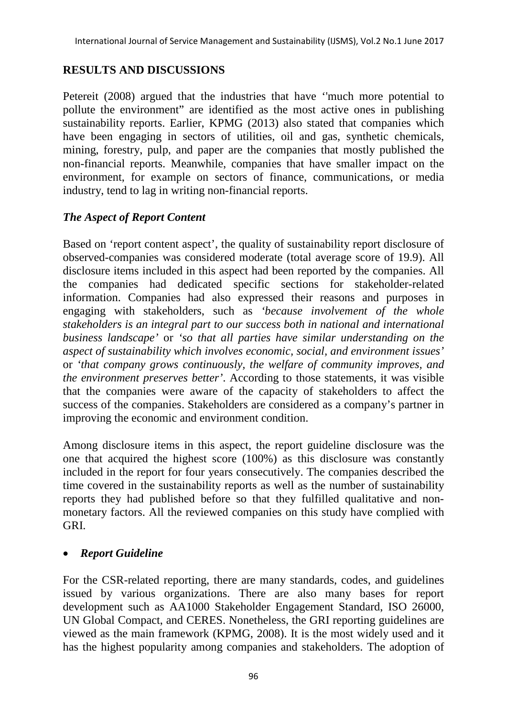# **RESULTS AND DISCUSSIONS**

Petereit (2008) argued that the industries that have ''much more potential to pollute the environment" are identified as the most active ones in publishing sustainability reports. Earlier, KPMG (2013) also stated that companies which have been engaging in sectors of utilities, oil and gas, synthetic chemicals, mining, forestry, pulp, and paper are the companies that mostly published the non-financial reports. Meanwhile, companies that have smaller impact on the environment, for example on sectors of finance, communications, or media industry, tend to lag in writing non-financial reports.

# *The Aspect of Report Content*

Based on 'report content aspect', the quality of sustainability report disclosure of observed-companies was considered moderate (total average score of 19.9). All disclosure items included in this aspect had been reported by the companies. All the companies had dedicated specific sections for stakeholder-related information. Companies had also expressed their reasons and purposes in engaging with stakeholders, such as *'because involvement of the whole stakeholders is an integral part to our success both in national and international business landscape'* or *'so that all parties have similar understanding on the aspect of sustainability which involves economic, social, and environment issues'* or *'that company grows continuously, the welfare of community improves, and the environment preserves better'*. According to those statements, it was visible that the companies were aware of the capacity of stakeholders to affect the success of the companies. Stakeholders are considered as a company's partner in improving the economic and environment condition.

Among disclosure items in this aspect, the report guideline disclosure was the one that acquired the highest score (100%) as this disclosure was constantly included in the report for four years consecutively. The companies described the time covered in the sustainability reports as well as the number of sustainability reports they had published before so that they fulfilled qualitative and nonmonetary factors. All the reviewed companies on this study have complied with GRI.

# • *Report Guideline*

For the CSR-related reporting, there are many standards, codes, and guidelines issued by various organizations. There are also many bases for report development such as AA1000 Stakeholder Engagement Standard, ISO 26000, UN Global Compact, and CERES. Nonetheless, the GRI reporting guidelines are viewed as the main framework (KPMG, 2008). It is the most widely used and it has the highest popularity among companies and stakeholders. The adoption of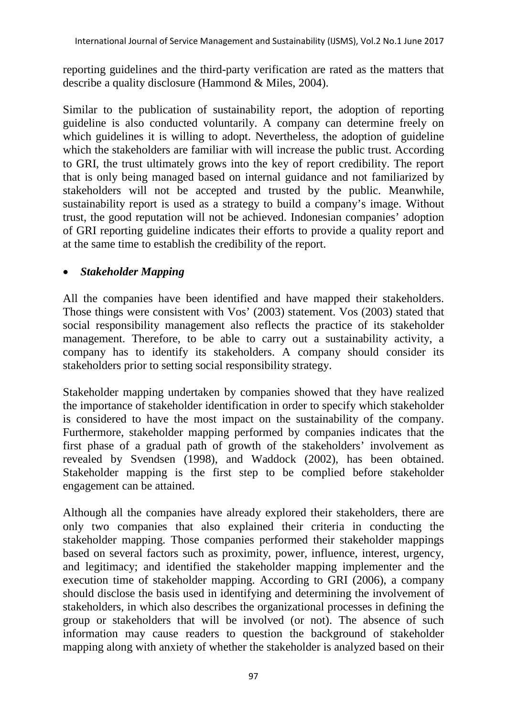reporting guidelines and the third-party verification are rated as the matters that describe a quality disclosure (Hammond & Miles, 2004).

Similar to the publication of sustainability report, the adoption of reporting guideline is also conducted voluntarily. A company can determine freely on which guidelines it is willing to adopt. Nevertheless, the adoption of guideline which the stakeholders are familiar with will increase the public trust. According to GRI, the trust ultimately grows into the key of report credibility. The report that is only being managed based on internal guidance and not familiarized by stakeholders will not be accepted and trusted by the public. Meanwhile, sustainability report is used as a strategy to build a company's image. Without trust, the good reputation will not be achieved. Indonesian companies' adoption of GRI reporting guideline indicates their efforts to provide a quality report and at the same time to establish the credibility of the report.

#### • *Stakeholder Mapping*

All the companies have been identified and have mapped their stakeholders. Those things were consistent with Vos' (2003) statement. Vos (2003) stated that social responsibility management also reflects the practice of its stakeholder management. Therefore, to be able to carry out a sustainability activity, a company has to identify its stakeholders. A company should consider its stakeholders prior to setting social responsibility strategy.

Stakeholder mapping undertaken by companies showed that they have realized the importance of stakeholder identification in order to specify which stakeholder is considered to have the most impact on the sustainability of the company. Furthermore, stakeholder mapping performed by companies indicates that the first phase of a gradual path of growth of the stakeholders' involvement as revealed by Svendsen (1998), and Waddock (2002), has been obtained. Stakeholder mapping is the first step to be complied before stakeholder engagement can be attained.

Although all the companies have already explored their stakeholders, there are only two companies that also explained their criteria in conducting the stakeholder mapping. Those companies performed their stakeholder mappings based on several factors such as proximity, power, influence, interest, urgency, and legitimacy; and identified the stakeholder mapping implementer and the execution time of stakeholder mapping. According to GRI (2006), a company should disclose the basis used in identifying and determining the involvement of stakeholders, in which also describes the organizational processes in defining the group or stakeholders that will be involved (or not). The absence of such information may cause readers to question the background of stakeholder mapping along with anxiety of whether the stakeholder is analyzed based on their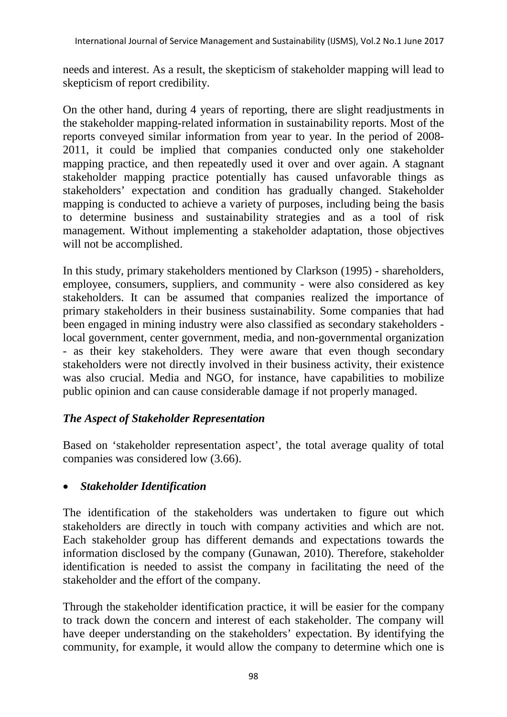needs and interest. As a result, the skepticism of stakeholder mapping will lead to skepticism of report credibility.

On the other hand, during 4 years of reporting, there are slight readjustments in the stakeholder mapping-related information in sustainability reports. Most of the reports conveyed similar information from year to year. In the period of 2008- 2011, it could be implied that companies conducted only one stakeholder mapping practice, and then repeatedly used it over and over again. A stagnant stakeholder mapping practice potentially has caused unfavorable things as stakeholders' expectation and condition has gradually changed. Stakeholder mapping is conducted to achieve a variety of purposes, including being the basis to determine business and sustainability strategies and as a tool of risk management. Without implementing a stakeholder adaptation, those objectives will not be accomplished.

In this study, primary stakeholders mentioned by Clarkson (1995) - shareholders, employee, consumers, suppliers, and community - were also considered as key stakeholders. It can be assumed that companies realized the importance of primary stakeholders in their business sustainability. Some companies that had been engaged in mining industry were also classified as secondary stakeholders local government, center government, media, and non-governmental organization - as their key stakeholders. They were aware that even though secondary stakeholders were not directly involved in their business activity, their existence was also crucial. Media and NGO, for instance, have capabilities to mobilize public opinion and can cause considerable damage if not properly managed.

# *The Aspect of Stakeholder Representation*

Based on 'stakeholder representation aspect', the total average quality of total companies was considered low (3.66).

# • *Stakeholder Identification*

The identification of the stakeholders was undertaken to figure out which stakeholders are directly in touch with company activities and which are not. Each stakeholder group has different demands and expectations towards the information disclosed by the company (Gunawan, 2010). Therefore, stakeholder identification is needed to assist the company in facilitating the need of the stakeholder and the effort of the company.

Through the stakeholder identification practice, it will be easier for the company to track down the concern and interest of each stakeholder. The company will have deeper understanding on the stakeholders' expectation. By identifying the community, for example, it would allow the company to determine which one is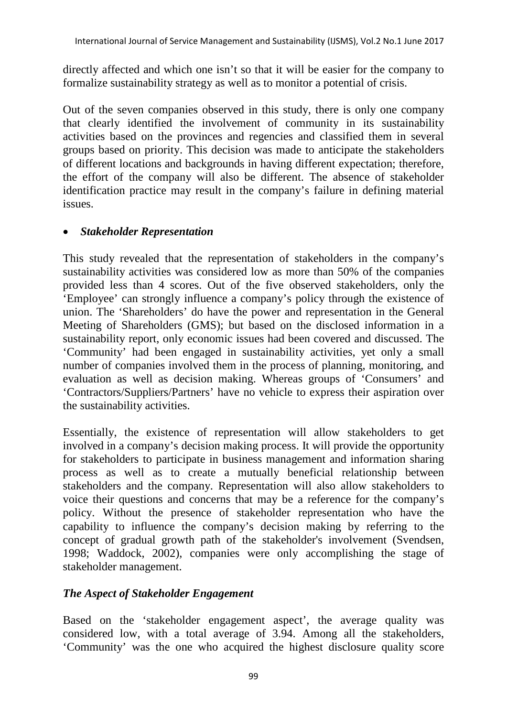directly affected and which one isn't so that it will be easier for the company to formalize sustainability strategy as well as to monitor a potential of crisis.

Out of the seven companies observed in this study, there is only one company that clearly identified the involvement of community in its sustainability activities based on the provinces and regencies and classified them in several groups based on priority. This decision was made to anticipate the stakeholders of different locations and backgrounds in having different expectation; therefore, the effort of the company will also be different. The absence of stakeholder identification practice may result in the company's failure in defining material issues.

#### • *Stakeholder Representation*

This study revealed that the representation of stakeholders in the company's sustainability activities was considered low as more than 50% of the companies provided less than 4 scores. Out of the five observed stakeholders, only the 'Employee' can strongly influence a company's policy through the existence of union. The 'Shareholders' do have the power and representation in the General Meeting of Shareholders (GMS); but based on the disclosed information in a sustainability report, only economic issues had been covered and discussed. The 'Community' had been engaged in sustainability activities, yet only a small number of companies involved them in the process of planning, monitoring, and evaluation as well as decision making. Whereas groups of 'Consumers' and 'Contractors/Suppliers/Partners' have no vehicle to express their aspiration over the sustainability activities.

Essentially, the existence of representation will allow stakeholders to get involved in a company's decision making process. It will provide the opportunity for stakeholders to participate in business management and information sharing process as well as to create a mutually beneficial relationship between stakeholders and the company. Representation will also allow stakeholders to voice their questions and concerns that may be a reference for the company's policy. Without the presence of stakeholder representation who have the capability to influence the company's decision making by referring to the concept of gradual growth path of the stakeholder's involvement (Svendsen, 1998; Waddock, 2002), companies were only accomplishing the stage of stakeholder management.

# *The Aspect of Stakeholder Engagement*

Based on the 'stakeholder engagement aspect', the average quality was considered low, with a total average of 3.94. Among all the stakeholders, 'Community' was the one who acquired the highest disclosure quality score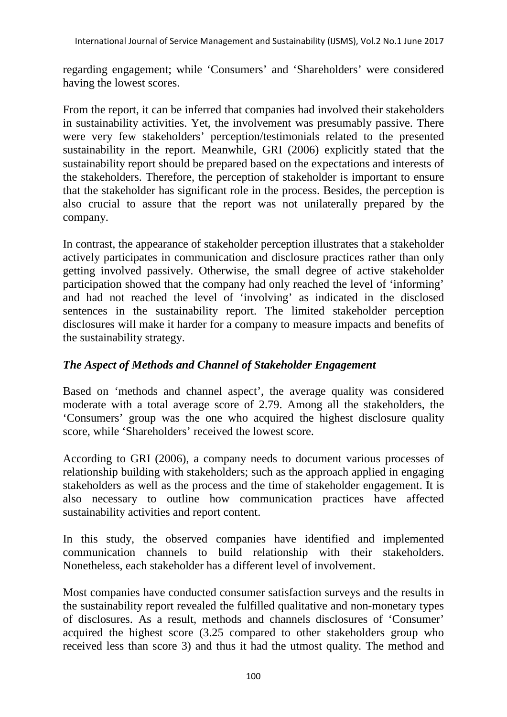regarding engagement; while 'Consumers' and 'Shareholders' were considered having the lowest scores.

From the report, it can be inferred that companies had involved their stakeholders in sustainability activities. Yet, the involvement was presumably passive. There were very few stakeholders' perception/testimonials related to the presented sustainability in the report. Meanwhile, GRI (2006) explicitly stated that the sustainability report should be prepared based on the expectations and interests of the stakeholders. Therefore, the perception of stakeholder is important to ensure that the stakeholder has significant role in the process. Besides, the perception is also crucial to assure that the report was not unilaterally prepared by the company.

In contrast, the appearance of stakeholder perception illustrates that a stakeholder actively participates in communication and disclosure practices rather than only getting involved passively. Otherwise, the small degree of active stakeholder participation showed that the company had only reached the level of 'informing' and had not reached the level of 'involving' as indicated in the disclosed sentences in the sustainability report. The limited stakeholder perception disclosures will make it harder for a company to measure impacts and benefits of the sustainability strategy.

#### *The Aspect of Methods and Channel of Stakeholder Engagement*

Based on 'methods and channel aspect', the average quality was considered moderate with a total average score of 2.79. Among all the stakeholders, the 'Consumers' group was the one who acquired the highest disclosure quality score, while 'Shareholders' received the lowest score.

According to GRI (2006), a company needs to document various processes of relationship building with stakeholders; such as the approach applied in engaging stakeholders as well as the process and the time of stakeholder engagement. It is also necessary to outline how communication practices have affected sustainability activities and report content.

In this study, the observed companies have identified and implemented communication channels to build relationship with their stakeholders. Nonetheless, each stakeholder has a different level of involvement.

Most companies have conducted consumer satisfaction surveys and the results in the sustainability report revealed the fulfilled qualitative and non-monetary types of disclosures. As a result, methods and channels disclosures of 'Consumer' acquired the highest score (3.25 compared to other stakeholders group who received less than score 3) and thus it had the utmost quality. The method and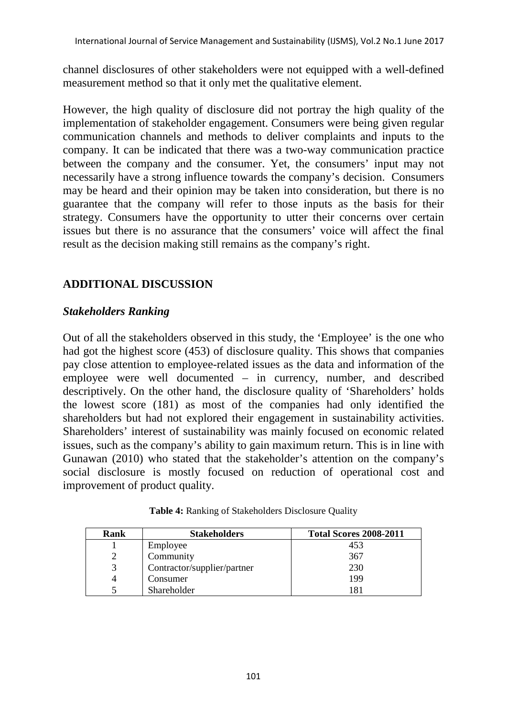channel disclosures of other stakeholders were not equipped with a well-defined measurement method so that it only met the qualitative element.

However, the high quality of disclosure did not portray the high quality of the implementation of stakeholder engagement. Consumers were being given regular communication channels and methods to deliver complaints and inputs to the company. It can be indicated that there was a two-way communication practice between the company and the consumer. Yet, the consumers' input may not necessarily have a strong influence towards the company's decision. Consumers may be heard and their opinion may be taken into consideration, but there is no guarantee that the company will refer to those inputs as the basis for their strategy. Consumers have the opportunity to utter their concerns over certain issues but there is no assurance that the consumers' voice will affect the final result as the decision making still remains as the company's right.

#### **ADDITIONAL DISCUSSION**

#### *Stakeholders Ranking*

Out of all the stakeholders observed in this study, the 'Employee' is the one who had got the highest score (453) of disclosure quality. This shows that companies pay close attention to employee-related issues as the data and information of the employee were well documented – in currency, number, and described descriptively. On the other hand, the disclosure quality of 'Shareholders' holds the lowest score (181) as most of the companies had only identified the shareholders but had not explored their engagement in sustainability activities. Shareholders' interest of sustainability was mainly focused on economic related issues, such as the company's ability to gain maximum return. This is in line with Gunawan (2010) who stated that the stakeholder's attention on the company's social disclosure is mostly focused on reduction of operational cost and improvement of product quality.

| Rank | <b>Stakeholders</b>         | <b>Total Scores 2008-2011</b> |
|------|-----------------------------|-------------------------------|
|      | Employee                    | 453                           |
|      | Community                   | 367                           |
| 3    | Contractor/supplier/partner | 230                           |
| 4    | Consumer                    | 199                           |
|      | Shareholder                 | 181                           |

| Table 4: Ranking of Stakeholders Disclosure Quality |  |
|-----------------------------------------------------|--|
|-----------------------------------------------------|--|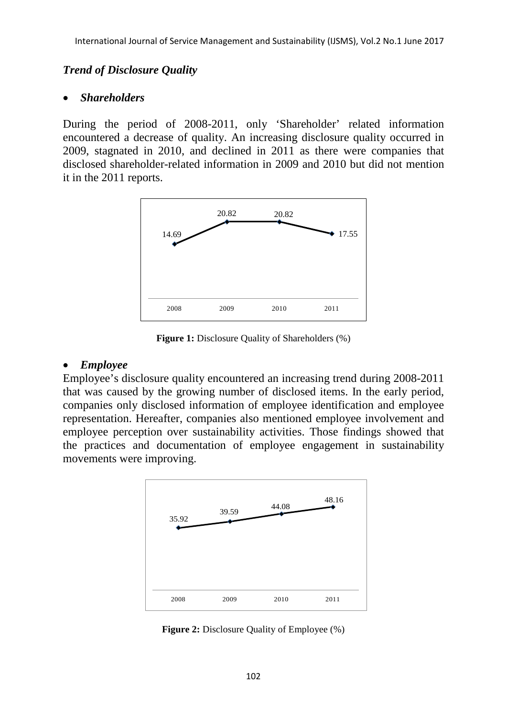#### *Trend of Disclosure Quality*

#### • *Shareholders*

During the period of 2008-2011, only 'Shareholder' related information encountered a decrease of quality. An increasing disclosure quality occurred in 2009, stagnated in 2010, and declined in 2011 as there were companies that disclosed shareholder-related information in 2009 and 2010 but did not mention it in the 2011 reports.



**Figure 1:** Disclosure Quality of Shareholders (%)

#### • *Employee*

Employee's disclosure quality encountered an increasing trend during 2008-2011 that was caused by the growing number of disclosed items. In the early period, companies only disclosed information of employee identification and employee representation. Hereafter, companies also mentioned employee involvement and employee perception over sustainability activities. Those findings showed that the practices and documentation of employee engagement in sustainability movements were improving.



**Figure 2:** Disclosure Quality of Employee (%)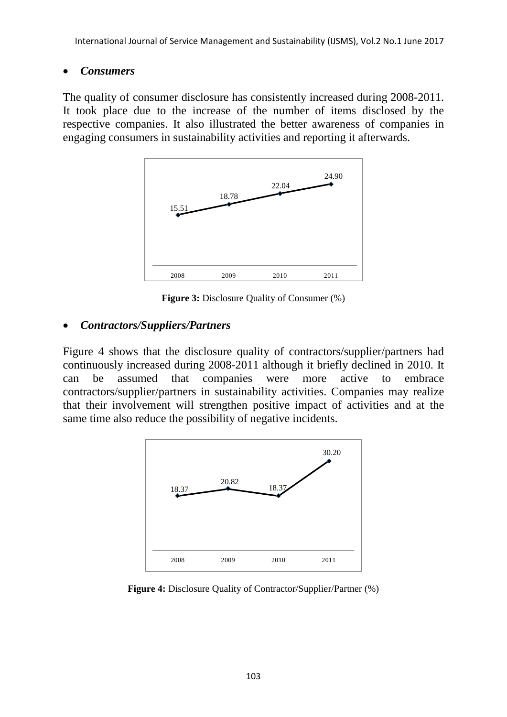#### • *Consumers*

The quality of consumer disclosure has consistently increased during 2008-2011. It took place due to the increase of the number of items disclosed by the respective companies. It also illustrated the better awareness of companies in engaging consumers in sustainability activities and reporting it afterwards.



**Figure 3:** Disclosure Quality of Consumer (%)

# • *Contractors/Suppliers/Partners*

Figure 4 shows that the disclosure quality of contractors/supplier/partners had continuously increased during 2008-2011 although it briefly declined in 2010. It can be assumed that companies were more active to embrace contractors/supplier/partners in sustainability activities. Companies may realize that their involvement will strengthen positive impact of activities and at the same time also reduce the possibility of negative incidents.



**Figure 4:** Disclosure Quality of Contractor/Supplier/Partner (%)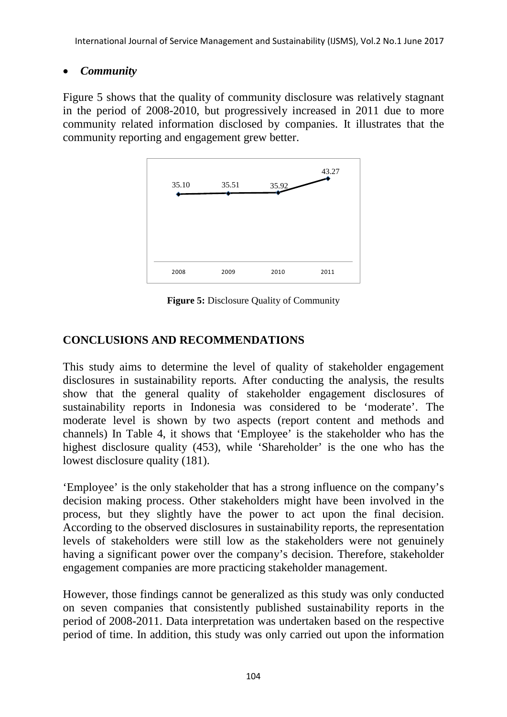#### • *Community*

Figure 5 shows that the quality of community disclosure was relatively stagnant in the period of 2008-2010, but progressively increased in 2011 due to more community related information disclosed by companies. It illustrates that the community reporting and engagement grew better.



**Figure 5:** Disclosure Quality of Community

# **CONCLUSIONS AND RECOMMENDATIONS**

This study aims to determine the level of quality of stakeholder engagement disclosures in sustainability reports*.* After conducting the analysis, the results show that the general quality of stakeholder engagement disclosures of sustainability reports in Indonesia was considered to be 'moderate'. The moderate level is shown by two aspects (report content and methods and channels) In Table 4, it shows that 'Employee' is the stakeholder who has the highest disclosure quality (453), while 'Shareholder' is the one who has the lowest disclosure quality (181).

'Employee' is the only stakeholder that has a strong influence on the company's decision making process. Other stakeholders might have been involved in the process, but they slightly have the power to act upon the final decision. According to the observed disclosures in sustainability reports, the representation levels of stakeholders were still low as the stakeholders were not genuinely having a significant power over the company's decision. Therefore, stakeholder engagement companies are more practicing stakeholder management.

However, those findings cannot be generalized as this study was only conducted on seven companies that consistently published sustainability reports in the period of 2008-2011. Data interpretation was undertaken based on the respective period of time. In addition, this study was only carried out upon the information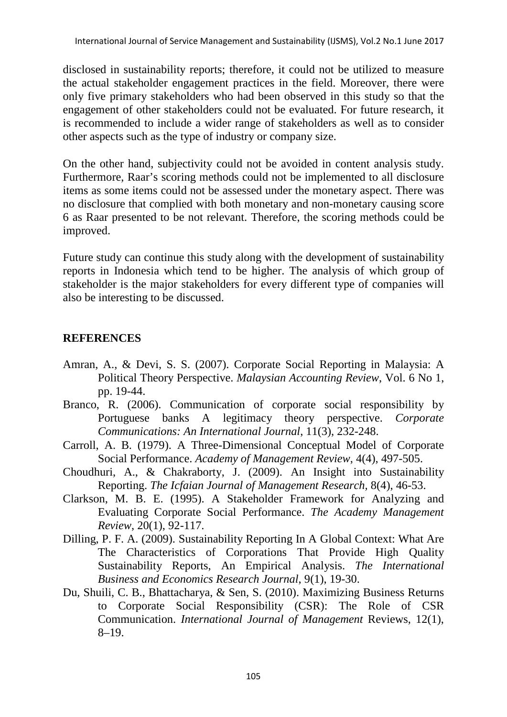disclosed in sustainability reports; therefore, it could not be utilized to measure the actual stakeholder engagement practices in the field. Moreover, there were only five primary stakeholders who had been observed in this study so that the engagement of other stakeholders could not be evaluated. For future research, it is recommended to include a wider range of stakeholders as well as to consider other aspects such as the type of industry or company size.

On the other hand, subjectivity could not be avoided in content analysis study. Furthermore, Raar's scoring methods could not be implemented to all disclosure items as some items could not be assessed under the monetary aspect. There was no disclosure that complied with both monetary and non-monetary causing score 6 as Raar presented to be not relevant. Therefore, the scoring methods could be improved.

Future study can continue this study along with the development of sustainability reports in Indonesia which tend to be higher. The analysis of which group of stakeholder is the major stakeholders for every different type of companies will also be interesting to be discussed.

#### **REFERENCES**

- Amran, A., & Devi, S. S. (2007). Corporate Social Reporting in Malaysia: A Political Theory Perspective. *Malaysian Accounting Review*, Vol. 6 No 1, pp. 19-44.
- Branco, R. (2006). Communication of corporate social responsibility by Portuguese banks A legitimacy theory perspective. *Corporate Communications: An International Journal*, 11(3), 232-248.
- Carroll, A. B. (1979). A Three-Dimensional Conceptual Model of Corporate Social Performance. *Academy of Management Review*, 4(4), 497-505.
- Choudhuri, A., & Chakraborty, J. (2009). An Insight into Sustainability Reporting. *The Icfaian Journal of Management Research,* 8(4), 46-53.
- Clarkson, M. B. E. (1995). A Stakeholder Framework for Analyzing and Evaluating Corporate Social Performance. *The Academy Management Review*, 20(1), 92-117.
- Dilling, P. F. A. (2009). Sustainability Reporting In A Global Context: What Are The Characteristics of Corporations That Provide High Quality Sustainability Reports, An Empirical Analysis. *The International Business and Economics Research Journal*, 9(1), 19-30.
- Du, Shuili, C. B., Bhattacharya, & Sen, S. (2010). Maximizing Business Returns to Corporate Social Responsibility (CSR): The Role of CSR Communication. *International Journal of Management* Reviews, 12(1), 8–19.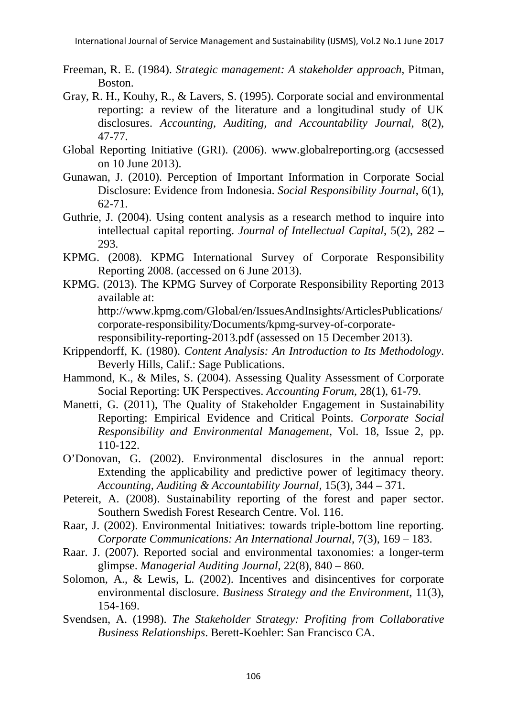- Freeman, R. E. (1984). *Strategic management: A stakeholder approach*, Pitman, Boston.
- Gray, R. H., Kouhy, R., & Lavers, S. (1995). Corporate social and environmental reporting: a review of the literature and a longitudinal study of UK disclosures. *Accounting, Auditing, and Accountability Journal*, 8(2), 47-77.
- Global Reporting Initiative (GRI). (2006). [www.globalreporting.org](http://www.globalreporting.org/) (accsessed on 10 June 2013).
- Gunawan, J. (2010). Perception of Important Information in Corporate Social Disclosure: Evidence from Indonesia. *Social Responsibility Journal*, 6(1), 62-71.
- Guthrie, J. (2004). Using content analysis as a research method to inquire into intellectual capital reporting. *Journal of Intellectual Capital*, 5(2), 282 – 293.
- KPMG. (2008). KPMG International Survey of Corporate Responsibility Reporting 2008. (accessed on 6 June 2013).
- KPMG. (2013). The KPMG Survey of Corporate Responsibility Reporting 2013 available at:

[http://www.kpmg.com/Global/en/IssuesAndInsights/ArticlesPublications/](http://www.kpmg.com/Global/en/IssuesAndInsights/ArticlesPublications/corporate-responsibility/Documents/kpmg-survey-of-corporate-responsibility-reporting-2013.pdf) [corporate-responsibility/Documents/kpmg-survey-of-corporate-](http://www.kpmg.com/Global/en/IssuesAndInsights/ArticlesPublications/corporate-responsibility/Documents/kpmg-survey-of-corporate-responsibility-reporting-2013.pdf)

[responsibility-reporting-2013.pdf](http://www.kpmg.com/Global/en/IssuesAndInsights/ArticlesPublications/corporate-responsibility/Documents/kpmg-survey-of-corporate-responsibility-reporting-2013.pdf) (assessed on 15 December 2013).

- Krippendorff, K. (1980). *Content Analysis: An Introduction to Its Methodology*. Beverly Hills, Calif.: Sage Publications.
- Hammond, K., & Miles, S. (2004). Assessing Quality Assessment of Corporate Social Reporting: UK Perspectives. *Accounting Forum*, 28(1), 61-79.
- Manetti, G. (2011), The Quality of Stakeholder Engagement in Sustainability Reporting: Empirical Evidence and Critical Points. *Corporate Social Responsibility and Environmental Management*, Vol. 18, Issue 2, pp. 110-122.
- O'Donovan, G. (2002). Environmental disclosures in the annual report: Extending the applicability and predictive power of legitimacy theory. *Accounting, Auditing & Accountability Journal*, 15(3), 344 – 371.
- Petereit, A. (2008). Sustainability reporting of the forest and paper sector. Southern Swedish Forest Research Centre. Vol. 116.
- Raar, J. (2002). Environmental Initiatives: towards triple-bottom line reporting. *Corporate Communications: An International Journal*, 7(3), 169 – 183.
- Raar. J. (2007). Reported social and environmental taxonomies: a longer-term glimpse. *Managerial Auditing Journal*, 22(8), 840 – 860.
- Solomon, A., & Lewis, L. (2002). Incentives and disincentives for corporate environmental disclosure. *Business Strategy and the Environment*, 11(3), 154-169.
- Svendsen, A. (1998). *The Stakeholder Strategy: Profiting from Collaborative Business Relationships*. Berett-Koehler: San Francisco CA.